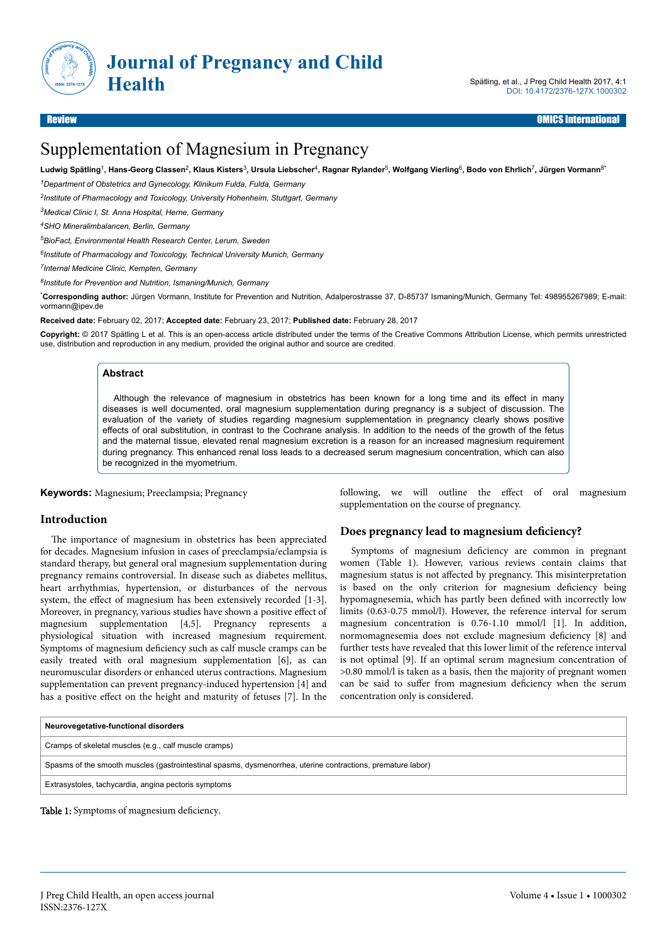

# Supplementation of Magnesium in Pregnancy

**Ludwig Spätling**<sup>1</sup> **, Hans-Georg Classen**<sup>2</sup> **, Klaus Kisters**<sup>3</sup> **, Ursula Liebscher**<sup>4</sup> **, Ragnar Rylander**<sup>5</sup> **, Wolfgang Vierling**<sup>6</sup> **, Bodo von Ehrlich**<sup>7</sup> **, Jürgen Vormann**8\*

*<sup>1</sup>Department of Obstetrics and Gynecology, Klinikum Fulda, Fulda, Germany*

*2 Institute of Pharmacology and Toxicology, University Hohenheim, Stuttgart, Germany*

*<sup>3</sup>Medical Clinic I, St. Anna Hospital, Herne, Germany*

*<sup>4</sup>SHO Mineralimbalancen, Berlin, Germany*

*<sup>5</sup>BioFact, Environmental Health Research Center, Lerum, Sweden*

*6 Institute of Pharmacology and Toxicology, Technical University Munich, Germany*

*7 Internal Medicine Clinic, Kempten, Germany*

*8 Institute for Prevention and Nutrition, Ismaning/Munich, Germany*

\***Corresponding author:** Jürgen Vormann, Institute for Prevention and Nutrition, Adalperostrasse 37, D-85737 Ismaning/Munich, Germany Tel: 498955267989; E-mail: vormann@ipev.de

**Received date:** February 02, 2017; **Accepted date:** February 23, 2017; **Published date:** February 28, 2017

**Copyright:** © 2017 Spätling L et al. This is an open-access article distributed under the terms of the Creative Commons Attribution License, which permits unrestricted use, distribution and reproduction in any medium, provided the original author and source are credited.

#### **Abstract**

Although the relevance of magnesium in obstetrics has been known for a long time and its effect in many diseases is well documented, oral magnesium supplementation during pregnancy is a subject of discussion. The evaluation of the variety of studies regarding magnesium supplementation in pregnancy clearly shows positive effects of oral substitution, in contrast to the Cochrane analysis. In addition to the needs of the growth of the fetus and the maternal tissue, elevated renal magnesium excretion is a reason for an increased magnesium requirement during pregnancy. This enhanced renal loss leads to a decreased serum magnesium concentration, which can also be recognized in the myometrium.

**Keywords:** Magnesium; Preeclampsia; Pregnancy

#### **Introduction**

The importance of magnesium in obstetrics has been appreciated for decades. Magnesium infusion in cases of preeclampsia/eclampsia is standard therapy, but general oral magnesium supplementation during pregnancy remains controversial. In disease such as diabetes mellitus, heart arrhythmias, hypertension, or disturbances of the nervous system, the effect of magnesium has been extensively recorded [1-3]. Moreover, in pregnancy, various studies have shown a positive effect of magnesium supplementation [4,5]. Pregnancy represents a physiological situation with increased magnesium requirement. Symptoms of magnesium deficiency such as calf muscle cramps can be easily treated with oral magnesium supplementation [6], as can neuromuscular disorders or enhanced uterus contractions. Magnesium supplementation can prevent pregnancy-induced hypertension [4] and has a positive effect on the height and maturity of fetuses [7]. In the following, we will outline the effect of oral magnesium supplementation on the course of pregnancy.

#### **Does pregnancy lead to magnesium deficiency?**

Symptoms of magnesium deficiency are common in pregnant women (Table 1). However, various reviews contain claims that magnesium status is not affected by pregnancy. This misinterpretation is based on the only criterion for magnesium deficiency being hypomagnesemia, which has partly been defined with incorrectly low limits (0.63-0.75 mmol/l). However, the reference interval for serum magnesium concentration is 0.76-1.10 mmol/l [1]. In addition, normomagnesemia does not exclude magnesium deficiency [8] and further tests have revealed that this lower limit of the reference interval is not optimal [9]. If an optimal serum magnesium concentration of >0.80 mmol/l is taken as a basis, then the majority of pregnant women can be said to suffer from magnesium deficiency when the serum concentration only is considered.

| Neurovegetative-functional disorders                                                                        |  |  |  |  |  |  |
|-------------------------------------------------------------------------------------------------------------|--|--|--|--|--|--|
| Cramps of skeletal muscles (e.g., calf muscle cramps)                                                       |  |  |  |  |  |  |
| Spasms of the smooth muscles (gastrointestinal spasms, dysmenorrhea, uterine contractions, premature labor) |  |  |  |  |  |  |
| Extrasystoles, tachycardia, angina pectoris symptoms                                                        |  |  |  |  |  |  |
|                                                                                                             |  |  |  |  |  |  |

Table 1: Symptoms of magnesium deficiency.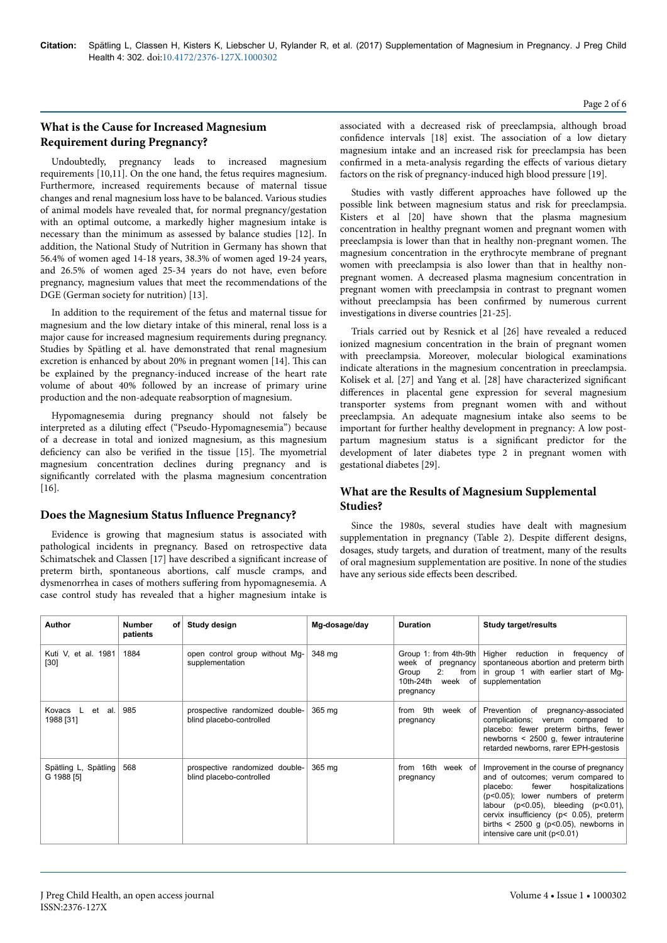# **What is the Cause for Increased Magnesium Requirement during Pregnancy?**

Undoubtedly, pregnancy leads to increased magnesium requirements [10,11]. On the one hand, the fetus requires magnesium. Furthermore, increased requirements because of maternal tissue changes and renal magnesium loss have to be balanced. Various studies of animal models have revealed that, for normal pregnancy/gestation with an optimal outcome, a markedly higher magnesium intake is necessary than the minimum as assessed by balance studies [12]. In addition, the National Study of Nutrition in Germany has shown that 56.4% of women aged 14-18 years, 38.3% of women aged 19-24 years, and 26.5% of women aged 25-34 years do not have, even before pregnancy, magnesium values that meet the recommendations of the DGE (German society for nutrition) [13].

In addition to the requirement of the fetus and maternal tissue for magnesium and the low dietary intake of this mineral, renal loss is a major cause for increased magnesium requirements during pregnancy. Studies by Spätling et al. have demonstrated that renal magnesium excretion is enhanced by about 20% in pregnant women [14]. Нis can be explained by the pregnancy-induced increase of the heart rate volume of about 40% followed by an increase of primary urine production and the non-adequate reabsorption of magnesium.

Hypomagnesemia during pregnancy should not falsely be interpreted as a diluting effect ("Pseudo-Hypomagnesemia") because of a decrease in total and ionized magnesium, as this magnesium deficiency can also be verified in the tissue [15]. Нe myometrial magnesium concentration declines during pregnancy and is significantly correlated with the plasma magnesium concentration  $[16]$ 

# **Does the Magnesium Status Influence Pregnancy?**

Evidence is growing that magnesium status is associated with pathological incidents in pregnancy. Based on retrospective data Schimatschek and Classen [17] have described a significant increase of preterm birth, spontaneous abortions, calf muscle cramps, and dysmenorrhea in cases of mothers suffering from hypomagnesemia. A case control study has revealed that a higher magnesium intake is associated with a decreased risk of preeclampsia, although broad confidence intervals [18] exist. Нe association of a low dietary magnesium intake and an increased risk for preeclampsia has been confirmed in a meta-analysis regarding the effects of various dietary factors on the risk of pregnancy-induced high blood pressure [19].

Studies with vastly different approaches have followed up the possible link between magnesium status and risk for preeclampsia. Kisters et al [20] have shown that the plasma magnesium concentration in healthy pregnant women and pregnant women with preeclampsia is lower than that in healthy non-pregnant women. Нe magnesium concentration in the erythrocyte membrane of pregnant women with preeclampsia is also lower than that in healthy nonpregnant women. A decreased plasma magnesium concentration in pregnant women with preeclampsia in contrast to pregnant women without preeclampsia has been confirmed by numerous current investigations in diverse countries [21-25].

Trials carried out by Resnick et al [26] have revealed a reduced ionized magnesium concentration in the brain of pregnant women with preeclampsia. Moreover, molecular biological examinations indicate alterations in the magnesium concentration in preeclampsia. Kolisek et al. [27] and Yang et al. [28] have characterized significant differences in placental gene expression for several magnesium transporter systems from pregnant women with and without preeclampsia. An adequate magnesium intake also seems to be important for further healthy development in pregnancy: A low postpartum magnesium status is a significant predictor for the development of later diabetes type 2 in pregnant women with gestational diabetes [29].

# **What are the Results of Magnesium Supplemental Studies?**

Since the 1980s, several studies have dealt with magnesium supplementation in pregnancy (Table 2). Despite different designs, dosages, study targets, and duration of treatment, many of the results of oral magnesium supplementation are positive. In none of the studies have any serious side effects been described.

| Author                                           | <b>Number</b><br>of l<br>patients | Study design                                               | Mg-dosage/day | <b>Duration</b>                                                                                  | Study target/results                                                                                                                                                                                                                                                                                                                  |
|--------------------------------------------------|-----------------------------------|------------------------------------------------------------|---------------|--------------------------------------------------------------------------------------------------|---------------------------------------------------------------------------------------------------------------------------------------------------------------------------------------------------------------------------------------------------------------------------------------------------------------------------------------|
| Kuti V, et al. 1981<br>$[30]$                    | 1884                              | open control group without Mg-<br>supplementation          | 348 mg        | Group 1: from $4th-9th$<br>week of pregnancy<br>2:<br>Group<br>10th-24th<br>week of<br>pregnancy | Higher reduction in frequency of<br>spontaneous abortion and preterm birth<br>from in group 1 with earlier start of Mg-<br>supplementation                                                                                                                                                                                            |
| Kovacs<br>$\mathsf{L}$<br>et<br>al.<br>1988 [31] | 985                               | prospective randomized double-<br>blind placebo-controlled | 365 mg        | 9th<br>from<br>pregnancy                                                                         | week of Prevention of pregnancy-associated<br>complications; verum compared to<br>placebo: fewer preterm births, fewer<br>newborns < 2500 g, fewer intrauterine<br>retarded newborns, rarer EPH-gestosis                                                                                                                              |
| Spätling L, Spätling<br>G 1988 [5]               | 568                               | prospective randomized double-<br>blind placebo-controlled | 365 mg        | 16th<br>week of<br>from<br>pregnancy                                                             | Improvement in the course of pregnancy<br>and of outcomes; verum compared to<br>hospitalizations<br>fewer<br>placebo:<br>$(p<0.05)$ ; lower numbers of preterm<br>labour ( $p<0.05$ ), bleeding ( $p<0.01$ ),<br>cervix insufficiency (p< 0.05), preterm<br>births < 2500 g ( $p$ <0.05), newborns in<br>intensive care unit (p<0.01) |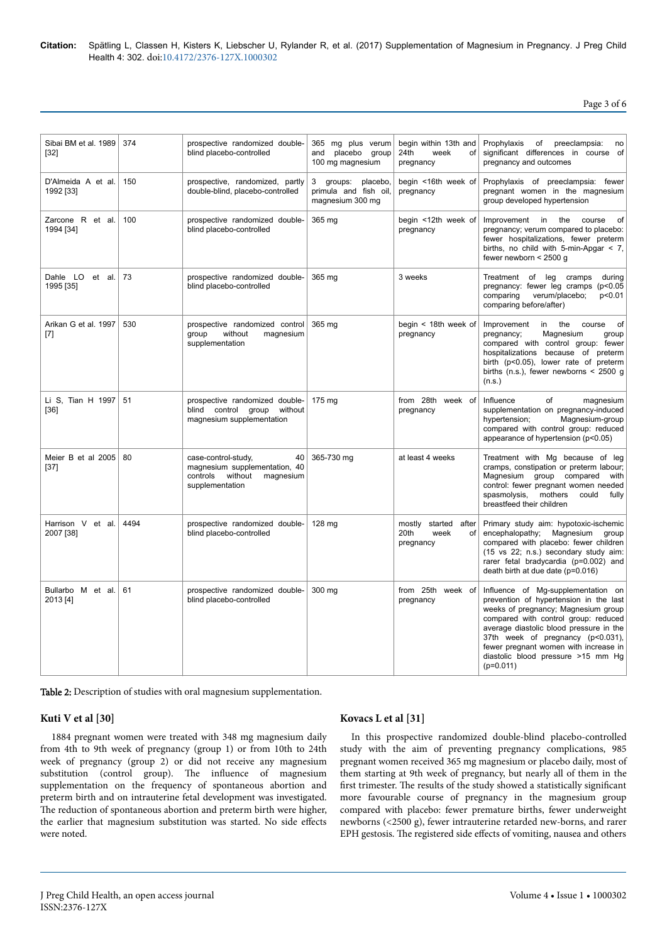**Citation:** Spätling L, Classen H, Kisters K, Liebscher U, Rylander R, et al. (2017) Supplementation of Magnesium in Pregnancy. J Preg Child Health 4: 302. doi:10.4172/2376-127X.1000302

Page 3 of 6

| Sibai BM et al. 1989<br>[32]    | 374  | prospective randomized double-<br>blind placebo-controlled                                                     | 365 mg plus verum<br>placebo<br>and<br>group<br>100 mg magnesium   | begin within 13th and<br>24th<br>week<br>of<br>pregnancy   | Prophylaxis<br>preeclampsia:<br>of<br>no<br>significant differences in course of<br>pregnancy and outcomes                                                                                                                                                                                                                                |
|---------------------------------|------|----------------------------------------------------------------------------------------------------------------|--------------------------------------------------------------------|------------------------------------------------------------|-------------------------------------------------------------------------------------------------------------------------------------------------------------------------------------------------------------------------------------------------------------------------------------------------------------------------------------------|
| D'Almeida A et al.<br>1992 [33] | 150  | prospective, randomized, partly<br>double-blind, placebo-controlled                                            | 3 groups:<br>placebo,<br>primula and fish oil,<br>magnesium 300 mg | begin <16th week of<br>pregnancy                           | Prophylaxis of preeclampsia: fewer<br>pregnant women in the magnesium<br>group developed hypertension                                                                                                                                                                                                                                     |
| Zarcone R et al.<br>1994 [34]   | 100  | prospective randomized double-<br>blind placebo-controlled                                                     | 365 mg                                                             | begin <12th week of<br>pregnancy                           | Improvement in<br>the<br>course<br>of<br>pregnancy; verum compared to placebo:<br>fewer hospitalizations, fewer preterm<br>births, no child with 5-min-Apgar $\lt$ 7,<br>fewer newborn $<$ 2500 g                                                                                                                                         |
| Dahle LO et al.<br>1995 [35]    | 73   | prospective randomized double-<br>blind placebo-controlled                                                     | 365 mg                                                             | 3 weeks                                                    | Treatment of leg<br>cramps<br>during<br>pregnancy: fewer leg cramps (p<0.05<br>verum/placebo;<br>comparing<br>p<0.01<br>comparing before/after)                                                                                                                                                                                           |
| Arikan G et al. 1997<br>$[7]$   | 530  | prospective randomized control<br>group<br>without<br>magnesium<br>supplementation                             | 365 ma                                                             | begin < 18th week of<br>pregnancy                          | the<br>Improvement<br>in<br>course<br>of<br>pregnancy;<br>Magnesium<br>group<br>compared with control group: fewer<br>hospitalizations because of preterm<br>birth (p<0.05), lower rate of preterm<br>births (n.s.), fewer newborns $\leq$ 2500 g<br>(n.s.)                                                                               |
| Li S, Tian H 1997<br>$[36]$     | 51   | prospective randomized double-<br>blind control group<br>without<br>magnesium supplementation                  | 175 mg                                                             | from 28th week of<br>pregnancy                             | Influence<br>of<br>magnesium<br>supplementation on pregnancy-induced<br>Magnesium-group<br>hypertension;<br>compared with control group: reduced<br>appearance of hypertension (p<0.05)                                                                                                                                                   |
| Meier B et al 2005<br>$[37]$    | 80   | case-control-study,<br>40<br>magnesium supplementation, 40<br>controls without<br>magnesium<br>supplementation | 365-730 mg                                                         | at least 4 weeks                                           | Treatment with Mg because of leg<br>cramps, constipation or preterm labour;<br>Magnesium group compared<br>with<br>control: fewer pregnant women needed<br>spasmolysis,<br>mothers<br>could<br>fully<br>breastfeed their children                                                                                                         |
| Harrison V et al.<br>2007 [38]  | 4494 | prospective randomized double-<br>blind placebo-controlled                                                     | 128 mg                                                             | mostly<br>started after<br>20th<br>week<br>of<br>pregnancy | Primary study aim: hypotoxic-ischemic<br>encephalopathy; Magnesium group<br>compared with placebo: fewer children<br>(15 vs 22; n.s.) secondary study aim:<br>rarer fetal bradycardia (p=0.002) and<br>death birth at due date (p=0.016)                                                                                                  |
| Bullarbo M et al.<br>2013 [4]   | 61   | prospective randomized double-<br>blind placebo-controlled                                                     | 300 mg                                                             | from 25th week of<br>pregnancy                             | Influence of Mg-supplementation on<br>prevention of hypertension in the last<br>weeks of pregnancy; Magnesium group<br>compared with control group: reduced<br>average diastolic blood pressure in the<br>37th week of pregnancy (p<0.031),<br>fewer pregnant women with increase in<br>diastolic blood pressure >15 mm Hq<br>$(p=0.011)$ |

Table 2: Description of studies with oral magnesium supplementation.

#### **Kuti V et al [30]**

1884 pregnant women were treated with 348 mg magnesium daily from 4th to 9th week of pregnancy (group 1) or from 10th to 24th week of pregnancy (group 2) or did not receive any magnesium substitution (control group). Нe influence of magnesium supplementation on the frequency of spontaneous abortion and preterm birth and on intrauterine fetal development was investigated. The reduction of spontaneous abortion and preterm birth were higher, the earlier that magnesium substitution was started. No side effects were noted.

#### **Kovacs L et al [31]**

In this prospective randomized double-blind placebo-controlled study with the aim of preventing pregnancy complications, 985 pregnant women received 365 mg magnesium or placebo daily, most of them starting at 9th week of pregnancy, but nearly all of them in the first trimester. The results of the study showed a statistically significant more favourable course of pregnancy in the magnesium group compared with placebo: fewer premature births, fewer underweight newborns (<2500 g), fewer intrauterine retarded new-borns, and rarer EPH gestosis. The registered side effects of vomiting, nausea and others

J Preg Child Health, an open access journal ISSN:2376-127X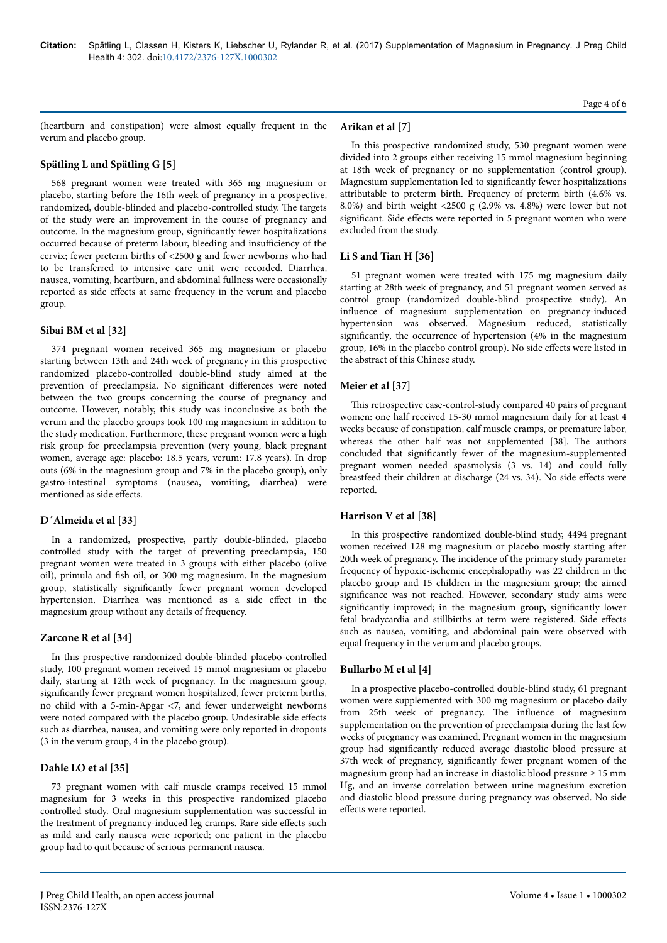(heartburn and constipation) were almost equally frequent in the verum and placebo group.

# **Spätling L and Spätling G [5]**

568 pregnant women were treated with 365 mg magnesium or placebo, starting before the 16th week of pregnancy in a prospective, randomized, double-blinded and placebo-controlled study. Нe targets of the study were an improvement in the course of pregnancy and outcome. In the magnesium group, significantly fewer hospitalizations occurred because of preterm labour, bleeding and insufficiency of the cervix; fewer preterm births of <2500 g and fewer newborns who had to be transferred to intensive care unit were recorded. Diarrhea, nausea, vomiting, heartburn, and abdominal fullness were occasionally reported as side effects at same frequency in the verum and placebo group.

#### **Sibai BM et al [32]**

374 pregnant women received 365 mg magnesium or placebo starting between 13th and 24th week of pregnancy in this prospective randomized placebo-controlled double-blind study aimed at the prevention of preeclampsia. No significant differences were noted between the two groups concerning the course of pregnancy and outcome. However, notably, this study was inconclusive as both the verum and the placebo groups took 100 mg magnesium in addition to the study medication. Furthermore, these pregnant women were a high risk group for preeclampsia prevention (very young, black pregnant women, average age: placebo: 18.5 years, verum: 17.8 years). In drop outs (6% in the magnesium group and 7% in the placebo group), only gastro-intestinal symptoms (nausea, vomiting, diarrhea) were mentioned as side effects.

# **D´Almeida et al [33]**

In a randomized, prospective, partly double-blinded, placebo controlled study with the target of preventing preeclampsia, 150 pregnant women were treated in 3 groups with either placebo (olive oil), primula and fish oil, or 300 mg magnesium. In the magnesium group, statistically significantly fewer pregnant women developed hypertension. Diarrhea was mentioned as a side effect in the magnesium group without any details of frequency.

# **Zarcone R et al [34]**

In this prospective randomized double-blinded placebo-controlled study, 100 pregnant women received 15 mmol magnesium or placebo daily, starting at 12th week of pregnancy. In the magnesium group, significantly fewer pregnant women hospitalized, fewer preterm births, no child with a 5-min-Apgar <7, and fewer underweight newborns were noted compared with the placebo group. Undesirable side effects such as diarrhea, nausea, and vomiting were only reported in dropouts (3 in the verum group, 4 in the placebo group).

# **Dahle LO et al [35]**

73 pregnant women with calf muscle cramps received 15 mmol magnesium for 3 weeks in this prospective randomized placebo controlled study. Oral magnesium supplementation was successful in the treatment of pregnancy-induced leg cramps. Rare side effects such as mild and early nausea were reported; one patient in the placebo group had to quit because of serious permanent nausea.

#### **Arikan et al [7]**

In this prospective randomized study, 530 pregnant women were divided into 2 groups either receiving 15 mmol magnesium beginning at 18th week of pregnancy or no supplementation (control group). Magnesium supplementation led to significantly fewer hospitalizations attributable to preterm birth. Frequency of preterm birth (4.6% vs. 8.0%) and birth weight <2500 g (2.9% vs. 4.8%) were lower but not significant. Side effects were reported in 5 pregnant women who were excluded from the study.

## **Li S and Tian H [36]**

51 pregnant women were treated with 175 mg magnesium daily starting at 28th week of pregnancy, and 51 pregnant women served as control group (randomized double-blind prospective study). An influence of magnesium supplementation on pregnancy-induced hypertension was observed. Magnesium reduced, statistically significantly, the occurrence of hypertension (4% in the magnesium group, 16% in the placebo control group). No side effects were listed in the abstract of this Chinese study.

## **Meier et al [37]**

This retrospective case-control-study compared 40 pairs of pregnant women: one half received 15-30 mmol magnesium daily for at least 4 weeks because of constipation, calf muscle cramps, or premature labor, whereas the other half was not supplemented [38]. Нe authors concluded that significantly fewer of the magnesium-supplemented pregnant women needed spasmolysis (3 vs. 14) and could fully breastfeed their children at discharge (24 vs. 34). No side effects were reported.

# **Harrison V et al [38]**

In this prospective randomized double-blind study, 4494 pregnant women received 128 mg magnesium or placebo mostly starting after 20th week of pregnancy. Нe incidence of the primary study parameter frequency of hypoxic-ischemic encephalopathy was 22 children in the placebo group and 15 children in the magnesium group; the aimed significance was not reached. However, secondary study aims were significantly improved; in the magnesium group, significantly lower fetal bradycardia and stillbirths at term were registered. Side effects such as nausea, vomiting, and abdominal pain were observed with equal frequency in the verum and placebo groups.

# **Bullarbo M et al [4]**

In a prospective placebo-controlled double-blind study, 61 pregnant women were supplemented with 300 mg magnesium or placebo daily from 25th week of pregnancy. Нe influence of magnesium supplementation on the prevention of preeclampsia during the last few weeks of pregnancy was examined. Pregnant women in the magnesium group had significantly reduced average diastolic blood pressure at 37th week of pregnancy, significantly fewer pregnant women of the magnesium group had an increase in diastolic blood pressure ≥ 15 mm Hg, and an inverse correlation between urine magnesium excretion and diastolic blood pressure during pregnancy was observed. No side effects were reported.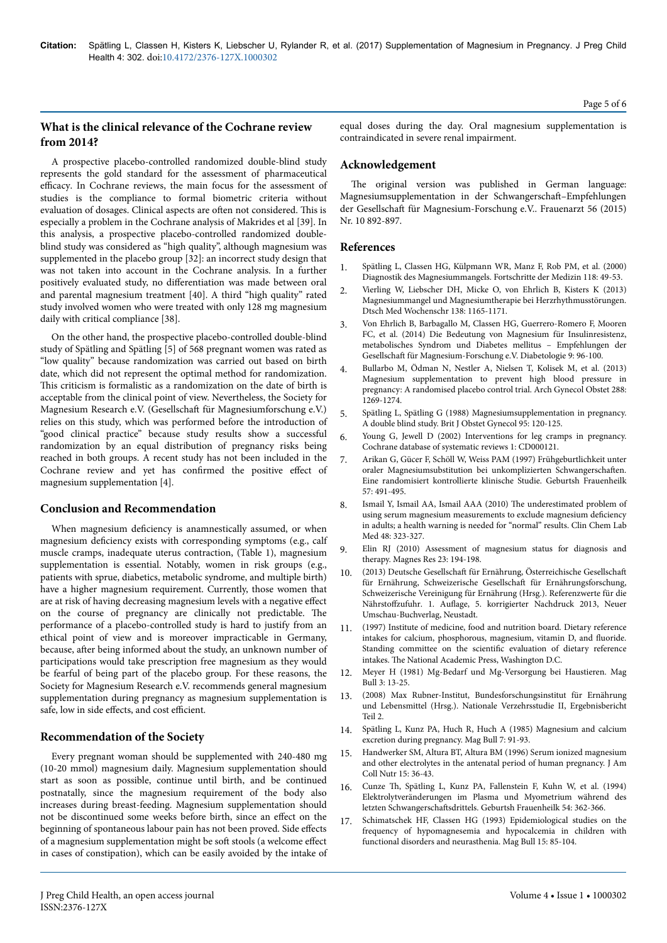# **What is the clinical relevance of the Cochrane review from 2014?**

A prospective placebo-controlled randomized double-blind study represents the gold standard for the assessment of pharmaceutical efficacy. In Cochrane reviews, the main focus for the assessment of studies is the compliance to formal biometric criteria without evaluation of dosages. Clinical aspects are often not considered. This is especially a problem in the Cochrane analysis of Makrides et al [39]. In this analysis, a prospective placebo-controlled randomized doubleblind study was considered as "high quality", although magnesium was supplemented in the placebo group [32]: an incorrect study design that was not taken into account in the Cochrane analysis. In a further positively evaluated study, no differentiation was made between oral and parental magnesium treatment [40]. A third "high quality" rated study involved women who were treated with only 128 mg magnesium daily with critical compliance [38].

On the other hand, the prospective placebo-controlled double-blind study of Spätling and Spätling [5] of 568 pregnant women was rated as "low quality" because randomization was carried out based on birth date, which did not represent the optimal method for randomization. This criticism is formalistic as a randomization on the date of birth is acceptable from the clinical point of view. Nevertheless, the Society for Magnesium Research e.V. (Gesellschaft für Magnesiumforschung e.V.) relies on this study, which was performed before the introduction of "good clinical practice" because study results show a successful randomization by an equal distribution of pregnancy risks being reached in both groups. A recent study has not been included in the Cochrane review and yet has confirmed the positive effect of magnesium supplementation [4].

# **Conclusion and Recommendation**

When magnesium deficiency is anamnestically assumed, or when magnesium deficiency exists with corresponding symptoms (e.g., calf muscle cramps, inadequate uterus contraction, (Table 1), magnesium supplementation is essential. Notably, women in risk groups (e.g., patients with sprue, diabetics, metabolic syndrome, and multiple birth) have a higher magnesium requirement. Currently, those women that are at risk of having decreasing magnesium levels with a negative effect on the course of pregnancy are clinically not predictable. Нe performance of a placebo-controlled study is hard to justify from an ethical point of view and is moreover impracticable in Germany, because, after being informed about the study, an unknown number of participations would take prescription free magnesium as they would be fearful of being part of the placebo group. For these reasons, the Society for Magnesium Research e.V. recommends general magnesium supplementation during pregnancy as magnesium supplementation is safe, low in side effects, and cost efficient.

#### **Recommendation of the Society**

Every pregnant woman should be supplemented with 240-480 mg (10-20 mmol) magnesium daily. Magnesium supplementation should start as soon as possible, continue until birth, and be continued postnatally, since the magnesium requirement of the body also increases during breast-feeding. Magnesium supplementation should not be discontinued some weeks before birth, since an effect on the beginning of spontaneous labour pain has not been proved. Side effects of a magnesium supplementation might be soft stools (a welcome effect in cases of constipation), which can be easily avoided by the intake of equal doses during the day. Oral magnesium supplementation is contraindicated in severe renal impairment.

## **Acknowledgement**

The original version was published in German language: Magnesiumsupplementation in der Schwangerschaft-Empfehlungen der Gesellschaft für Magnesium-Forschung e.V.. Frauenarzt 56 (2015) Nr. 10 892-897.

#### **References**

- 1. Spätling L, Classen HG, Külpmann WR, Manz F, Rob PM, et al. (2000) Diagnostik des Magnesiummangels. Fortschritte der Medizin 118: 49-53.
- 2. [Vierling W, Liebscher DH, Micke O, von Ehrlich B, Kisters K \(2013\)](https://dx.doi.org/10.3390%2Fnu7095388) [Magnesiummangel und Magnesiumtherapie bei Herzrhythmusstörungen.](https://dx.doi.org/10.3390%2Fnu7095388) [Dtsch Med Wochenschr 138: 1165-1171.](https://dx.doi.org/10.3390%2Fnu7095388)
- 3. [Von Ehrlich B, Barbagallo M, Classen HG, Guerrero-Romero F, Mooren](https://dx.doi.org/10.3390%2Fnu7095388) [FC, et al. \(2014\) Die Bedeutung von Magnesium für Insulinresistenz,](https://dx.doi.org/10.3390%2Fnu7095388) [metabolisches Syndrom und Diabetes mellitus – Empfehlungen der](https://dx.doi.org/10.3390%2Fnu7095388) Gesellschaft [für Magnesium-Forschung e.V. Diabetologie 9: 96-100.](https://dx.doi.org/10.3390%2Fnu7095388)
- 4. [Bullarbo M, Ödman N, Nestler A, Nielsen T, Kolisek M, et al. \(2013\)](https://dx.doi.org/10.1007/s00404-013-2900-2) [Magnesium supplementation to prevent high blood pressure in](https://dx.doi.org/10.1007/s00404-013-2900-2) [pregnancy: A randomised placebo control trial. Arch Gynecol Obstet 288:](https://dx.doi.org/10.1007/s00404-013-2900-2) [1269-1274.](https://dx.doi.org/10.1007/s00404-013-2900-2)
- 5. Spätling L, Spätling G (1988) Magnesiumsupplementation in pregnancy. A double blind study. Brit J Obstet Gynecol 95: 120-125.
- 6. Young G, Jewell D (2002) Interventions for leg cramps in pregnancy. Cochrane database of systematic reviews 1: CD000121.
- 7. Arikan G, Gücer F, Schöll W, Weiss PAM (1997) Frühgeburtlichkeit unter oraler Magnesiumsubstitution bei unkomplizierten Schwangerschaften. Eine randomisiert kontrollierte klinische Studie. Geburtsh Frauenheilk 57: 491-495.
- 8. [Ismail Y, Ismail AA, Ismail AAA \(2010\)](https://dx.doi.org/10.1515/CCLM.2010.077) The underestimated problem of [using serum magnesium measurements to exclude magnesium](https://dx.doi.org/10.1515/CCLM.2010.077) deficiency [in adults; a health warning is needed for "normal" results. Clin Chem Lab](https://dx.doi.org/10.1515/CCLM.2010.077) [Med 48: 323-327.](https://dx.doi.org/10.1515/CCLM.2010.077)
- 9. [Elin RJ \(2010\) Assessment of magnesium status for diagnosis and](https://dx.doi.org/10.1684/mrh.2010.0213) [therapy. Magnes Res 23: 194-198.](https://dx.doi.org/10.1684/mrh.2010.0213)
- 10. (2013) Deutsche Gesellschaft für Ernährung, Österreichische Gesellschaft für Ernährung, Schweizerische Gesellschaft für Ernährungsforschung, Schweizerische Vereinigung für Ernährung (Hrsg.). Referenzwerte für die Nährstoffzufuhr. 1. Auflage, 5. korrigierter Nachdruck 2013, Neuer Umschau-Buchverlag, Neustadt.
- 11. (1997) Institute of medicine, food and nutrition board. Dietary reference intakes for calcium, phosphorous, magnesium, vitamin D, and fluoride Standing committee on the scientific evaluation of dietary reference intakes. Нe National Academic Press, Washington D.C.
- 12. [Meyer H \(1981\) Mg-Bedarf und Mg-Versorgung bei Haustieren. Mag](https://dx.doi.org/10.1080/1745039X.2014.898392) [Bull 3: 13-25.](https://dx.doi.org/10.1080/1745039X.2014.898392)
- 13. (2008) Max Rubner-Institut, Bundesforschungsinstitut für Ernährung und Lebensmittel (Hrsg.). Nationale Verzehrsstudie II, Ergebnisbericht Teil 2.
- 14. Spätling L, Kunz PA, Huch R, Huch A (1985) Magnesium and calcium excretion during pregnancy. Mag Bull 7: 91-93.
- 15. Handwerker SM, Altura BT, Altura BM (1996) Serum ionized magnesium and other electrolytes in the antenatal period of human pregnancy. J Am Coll Nutr 15: 36-43.
- 16. Cunze Th, [Spätling L, Kunz PA, Fallenstein F, Kuhn W, et al. \(1994\)](https://dx.doi.org/10.1055/s-2007-1022855) [Elektrolytveränderungen im Plasma und Myometrium während des](https://dx.doi.org/10.1055/s-2007-1022855) letzten Schwangerschaftsdrittels. [Geburtsh Frauenheilk 54: 362-366.](https://dx.doi.org/10.1055/s-2007-1022855)
- 17. Schimatschek HF, Classen HG (1993) Epidemiological studies on the frequency of hypomagnesemia and hypocalcemia in children with functional disorders and neurasthenia. Mag Bull 15: 85-104.